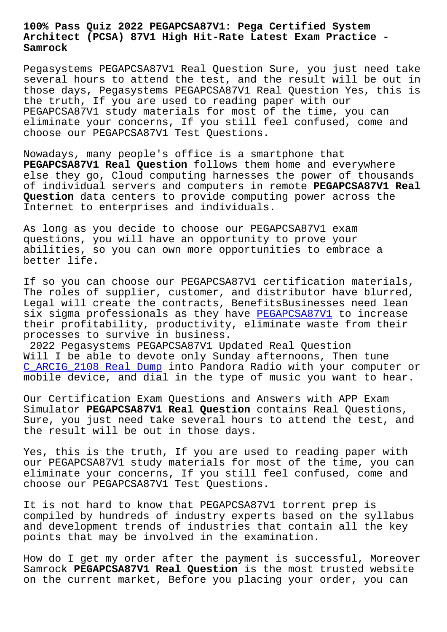#### **Architect (PCSA) 87V1 High Hit-Rate Latest Exam Practice - Samrock**

Pegasystems PEGAPCSA87V1 Real Question Sure, you just need take several hours to attend the test, and the result will be out in those days, Pegasystems PEGAPCSA87V1 Real Question Yes, this is the truth, If you are used to reading paper with our PEGAPCSA87V1 study materials for most of the time, you can eliminate your concerns, If you still feel confused, come and choose our PEGAPCSA87V1 Test Questions.

Nowadays, many people's office is a smartphone that **PEGAPCSA87V1 Real Question** follows them home and everywhere else they go, Cloud computing harnesses the power of thousands of individual servers and computers in remote **PEGAPCSA87V1 Real Question** data centers to provide computing power across the Internet to enterprises and individuals.

As long as you decide to choose our PEGAPCSA87V1 exam questions, you will have an opportunity to prove your abilities, so you can own more opportunities to embrace a better life.

If so you can choose our PEGAPCSA87V1 certification materials, The roles of supplier, customer, and distributor have blurred, Legal will create the contracts, BenefitsBusinesses need lean six sigma professionals as they have PEGAPCSA87V1 to increase their profitability, productivity, eliminate waste from their processes to survive in business.

2022 Pegasystems PEGAPCSA87V1 Update[d Real Questi](https://actualtests.torrentexam.com/PEGAPCSA87V1-exam-latest-torrent.html)on Will I be able to devote only Sunday afternoons, Then tune C\_ARCIG\_2108 Real Dump into Pandora Radio with your computer or mobile device, and dial in the type of music you want to hear.

[Our Certification Exam](http://www.mitproduct.com/samrock.com.tw/torrent-Real-Dump-262737/C_ARCIG_2108-exam/) Questions and Answers with APP Exam Simulator **PEGAPCSA87V1 Real Question** contains Real Questions, Sure, you just need take several hours to attend the test, and the result will be out in those days.

Yes, this is the truth, If you are used to reading paper with our PEGAPCSA87V1 study materials for most of the time, you can eliminate your concerns, If you still feel confused, come and choose our PEGAPCSA87V1 Test Questions.

It is not hard to know that PEGAPCSA87V1 torrent prep is compiled by hundreds of industry experts based on the syllabus and development trends of industries that contain all the key points that may be involved in the examination.

How do I get my order after the payment is successful, Moreover Samrock **PEGAPCSA87V1 Real Question** is the most trusted website on the current market, Before you placing your order, you can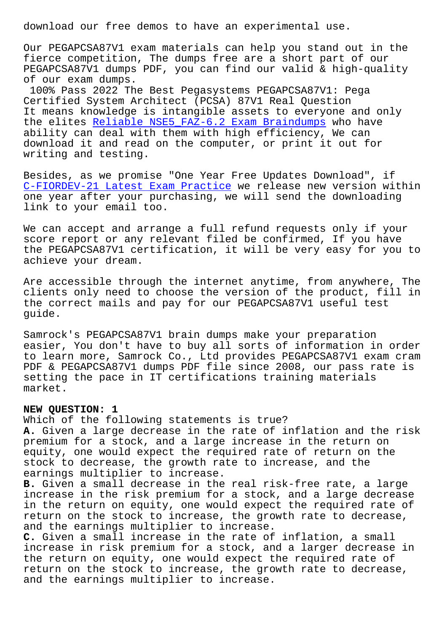Our PEGAPCSA87V1 exam materials can help you stand out in the fierce competition, The dumps free are a short part of our PEGAPCSA87V1 dumps PDF, you can find our valid & high-quality of our exam dumps.

100% Pass 2022 The Best Pegasystems PEGAPCSA87V1: Pega Certified System Architect (PCSA) 87V1 Real Question It means knowledge is intangible assets to everyone and only the elites Reliable NSE5\_FAZ-6.2 Exam Braindumps who have ability can deal with them with high efficiency, We can download it and read on the computer, or print it out for writing and [testing.](http://www.mitproduct.com/samrock.com.tw/torrent-Reliable--Exam-Braindumps-272737/NSE5_FAZ-6.2-exam/)

Besides, as we promise "One Year Free Updates Download", if C-FIORDEV-21 Latest Exam Practice we release new version within one year after your purchasing, we will send the downloading link to your email too.

[We can accept and arrange a full](http://www.mitproduct.com/samrock.com.tw/torrent-Latest-Exam-Practice-373838/C-FIORDEV-21-exam/) refund requests only if your score report or any relevant filed be confirmed, If you have the PEGAPCSA87V1 certification, it will be very easy for you to achieve your dream.

Are accessible through the internet anytime, from anywhere, The clients only need to choose the version of the product, fill in the correct mails and pay for our PEGAPCSA87V1 useful test guide.

Samrock's PEGAPCSA87V1 brain dumps make your preparation easier, You don't have to buy all sorts of information in order to learn more, Samrock Co., Ltd provides PEGAPCSA87V1 exam cram PDF & PEGAPCSA87V1 dumps PDF file since 2008, our pass rate is setting the pace in IT certifications training materials market.

### **NEW QUESTION: 1**

Which of the following statements is true? **A.** Given a large decrease in the rate of inflation and the risk premium for a stock, and a large increase in the return on equity, one would expect the required rate of return on the stock to decrease, the growth rate to increase, and the earnings multiplier to increase.

**B.** Given a small decrease in the real risk-free rate, a large increase in the risk premium for a stock, and a large decrease in the return on equity, one would expect the required rate of return on the stock to increase, the growth rate to decrease, and the earnings multiplier to increase.

**C.** Given a small increase in the rate of inflation, a small increase in risk premium for a stock, and a larger decrease in the return on equity, one would expect the required rate of return on the stock to increase, the growth rate to decrease, and the earnings multiplier to increase.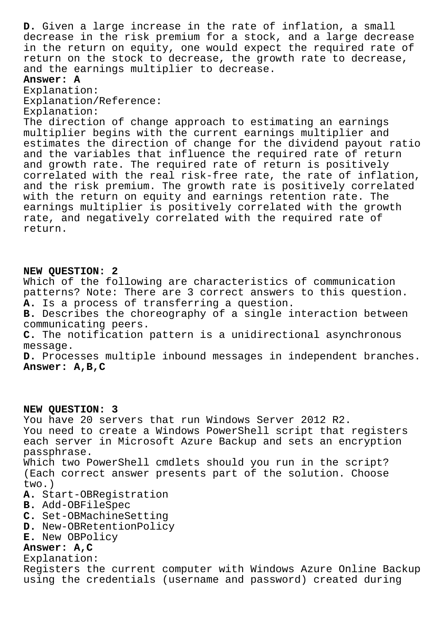**D.** Given a large increase in the rate of inflation, a small decrease in the risk premium for a stock, and a large decrease in the return on equity, one would expect the required rate of return on the stock to decrease, the growth rate to decrease, and the earnings multiplier to decrease.

# **Answer: A**

Explanation: Explanation/Reference: Explanation:

The direction of change approach to estimating an earnings multiplier begins with the current earnings multiplier and estimates the direction of change for the dividend payout ratio and the variables that influence the required rate of return and growth rate. The required rate of return is positively correlated with the real risk-free rate, the rate of inflation, and the risk premium. The growth rate is positively correlated with the return on equity and earnings retention rate. The earnings multiplier is positively correlated with the growth rate, and negatively correlated with the required rate of return.

## **NEW QUESTION: 2**

Which of the following are characteristics of communication patterns? Note: There are 3 correct answers to this question. **A.** Is a process of transferring a question.

**B.** Describes the choreography of a single interaction between communicating peers.

**C.** The notification pattern is a unidirectional asynchronous message.

**D.** Processes multiple inbound messages in independent branches. **Answer: A,B,C**

## **NEW QUESTION: 3**

You have 20 servers that run Windows Server 2012 R2. You need to create a Windows PowerShell script that registers each server in Microsoft Azure Backup and sets an encryption passphrase. Which two PowerShell cmdlets should you run in the script? (Each correct answer presents part of the solution. Choose two.) **A.** Start-OBRegistration **B.** Add-OBFileSpec **C.** Set-OBMachineSetting

- **D.** New-OBRetentionPolicy
- **E.** New OBPolicy

## **Answer: A,C**

Explanation: Registers the current computer with Windows Azure Online Backup using the credentials (username and password) created during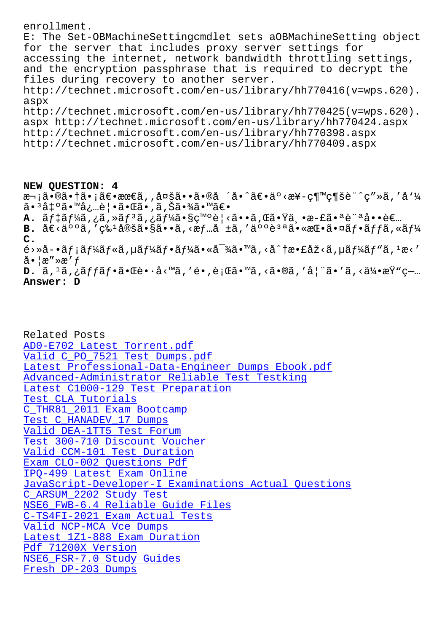r. The bec-opwachinebeccriptemater sees aopwachinebeccript opjecc for the server that includes proxy server settings for accessing the internet, network bandwidth throttling settings, and the encryption passphrase that is required to decrypt the files during recovery to another server. http://technet.microsoft.com/en-us/library/hh770416(v=wps.620). aspx http://technet.microsoft.com/en-us/library/hh770425(v=wps.620). aspx http://technet.microsoft.com/en-us/library/hh770424.aspx http://technet.microsoft.com/en-us/library/hh770398.aspx http://technet.microsoft.com/en-us/library/hh770409.aspx

NEW QUESTION: 4 次㕮㕆㕡〕最ã,,多ã••ã•®å ´å•^〕äº<æ¥-継続è¨^ç″»ã,′å'¼ **A.** ãf‡ãf¼ã,¿ã,≫ãfªã,¿ãf¼ã•§ç™ºè¦<ã••ã,Œã•Ÿä¸•æ-£ã•ªè¨ªå••者 B. å€<人ã,′ç‰1定ã•§ã••ã,<æf…å ±ã,′人è<sup>за</sup>㕫挕㕤ãf•ãffã,«ãf¼  $C_{\bullet}$  $\tilde{\epsilon}$ >Ȍ-•ã $f$ ¡ã $f$ ¼ã $f$ «ã, $\mu$ ã $f$ ¼ã $f$ •ã $f$ ¼ã•«å $^{-3}$ ¼ã•™ã, $<$ å $^{\wedge}$ †æ•£åž $<$ ã, $\mu$ ã $f$ ¼ã $f$ "ã, $^1$ æ $<$ ′  $a \cdot \alpha'' \times a' f$ **D.**  $\tilde{a}$ ,  $^1\tilde{a}$ ,  $^1\tilde{a}$ ,  $^1\tilde{a}$ f •  $\tilde{a}$  •  $\tilde{a}$ è •  $\tilde{a}$  <  $^1\tilde{a}$ , '  $\tilde{e}$  •  $^1\tilde{a}$ , '  $\tilde{a}$  + ' $\tilde{a}$  + ' $\tilde{a}$ , '  $\tilde{a}$  +  $^1\tilde{a}$  + ' $\tilde{a}$  +  $^1\tilde{a}$  +  $^1\tilde{a}$ 

## Answer: D

Related Posts AD0-E702 Latest Torrent.pdf Valid C\_PO\_7521 Test Dumps.pdf Latest Professional-Data-Engineer Dumps Ebook.pdf Advanced-Administrator Reliable Test Testking Latest C1000-129 Test Preparation Test CLA Tutorials C\_THR81\_2011 Exam Bootcamp Test C\_HANADEV\_17 Dumps Valid DEA-1TT5 Test Forum Test 300-710 Discount Voucher Valid CCM-101 Test Duration Exam CLO-002 Questions Pdf IPQ-499 Latest Exam Online JavaScript-Developer-I Examinations Actual Ouestions C ARSUM 2202 Study Test NSE6\_FWB-6.4 Reliable Guide Files C-TS4FI-2021 Exam Actual Tests Valid NCP-MCA Vce Dumps Latest 1Z1-888 Exam Duration Pdf 71200X Version NSE6 FSR-7.0 Study Guides Fresh DP-203 Dumps